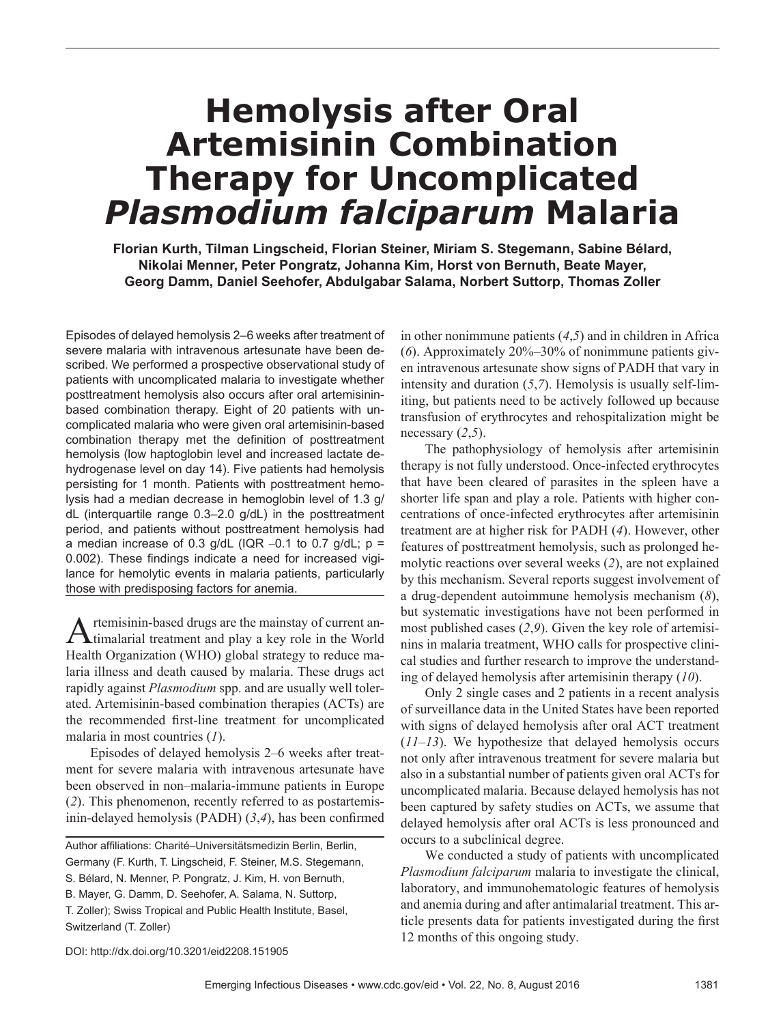# **Hemolysis after Oral Artemisinin Combination Therapy for Uncomplicated**  *Plasmodium falciparum* **Malaria**

**Florian Kurth, Tilman Lingscheid, Florian Steiner, Miriam S. Stegemann, Sabine Bélard, Nikolai Menner, Peter Pongratz, Johanna Kim, Horst von Bernuth, Beate Mayer, Georg Damm, Daniel Seehofer, Abdulgabar Salama, Norbert Suttorp, Thomas Zoller**

Episodes of delayed hemolysis 2–6 weeks after treatment of severe malaria with intravenous artesunate have been described. We performed a prospective observational study of patients with uncomplicated malaria to investigate whether posttreatment hemolysis also occurs after oral artemisininbased combination therapy. Eight of 20 patients with uncomplicated malaria who were given oral artemisinin-based combination therapy met the definition of posttreatment hemolysis (low haptoglobin level and increased lactate dehydrogenase level on day 14). Five patients had hemolysis persisting for 1 month. Patients with posttreatment hemolysis had a median decrease in hemoglobin level of 1.3 g/ dL (interquartile range 0.3–2.0 g/dL) in the posttreatment period, and patients without posttreatment hemolysis had a median increase of 0.3 g/dL (IQR  $-0.1$  to 0.7 g/dL; p = 0.002). These findings indicate a need for increased vigilance for hemolytic events in malaria patients, particularly those with predisposing factors for anemia.

Artemisinin-based drugs are the mainstay of current an-timalarial treatment and play a key role in the World Health Organization (WHO) global strategy to reduce malaria illness and death caused by malaria. These drugs act rapidly against *Plasmodium* spp. and are usually well tolerated. Artemisinin-based combination therapies (ACTs) are the recommended first-line treatment for uncomplicated malaria in most countries (*1*).

Episodes of delayed hemolysis 2–6 weeks after treatment for severe malaria with intravenous artesunate have been observed in non–malaria-immune patients in Europe (*2*). This phenomenon, recently referred to as postartemisinin-delayed hemolysis (PADH) (*3*,*4*), has been confirmed

in other nonimmune patients (*4*,*5*) and in children in Africa (*6*). Approximately 20%–30% of nonimmune patients given intravenous artesunate show signs of PADH that vary in intensity and duration (*5*,*7*). Hemolysis is usually self-limiting, but patients need to be actively followed up because transfusion of erythrocytes and rehospitalization might be necessary  $(2,5)$ .

The pathophysiology of hemolysis after artemisinin therapy is not fully understood. Once-infected erythrocytes that have been cleared of parasites in the spleen have a shorter life span and play a role. Patients with higher concentrations of once-infected erythrocytes after artemisinin treatment are at higher risk for PADH (*4*). However, other features of posttreatment hemolysis, such as prolonged hemolytic reactions over several weeks (*2*), are not explained by this mechanism. Several reports suggest involvement of a drug-dependent autoimmune hemolysis mechanism (*8*), but systematic investigations have not been performed in most published cases (*2*,*9*). Given the key role of artemisinins in malaria treatment, WHO calls for prospective clinical studies and further research to improve the understanding of delayed hemolysis after artemisinin therapy (*10*).

Only 2 single cases and 2 patients in a recent analysis of surveillance data in the United States have been reported with signs of delayed hemolysis after oral ACT treatment (*11*–*13*). We hypothesize that delayed hemolysis occurs not only after intravenous treatment for severe malaria but also in a substantial number of patients given oral ACTs for uncomplicated malaria. Because delayed hemolysis has not been captured by safety studies on ACTs, we assume that delayed hemolysis after oral ACTs is less pronounced and occurs to a subclinical degree.

We conducted a study of patients with uncomplicated *Plasmodium falciparum* malaria to investigate the clinical, laboratory, and immunohematologic features of hemolysis and anemia during and after antimalarial treatment. This article presents data for patients investigated during the first 12 months of this ongoing study.

DOI: http://dx.doi.org/10.3201/eid2208.151905

Author affiliations: Charité–Universitätsmedizin Berlin, Berlin, Germany (F. Kurth, T. Lingscheid, F. Steiner, M.S. Stegemann, S. Bélard, N. Menner, P. Pongratz, J. Kim, H. von Bernuth, B. Mayer, G. Damm, D. Seehofer, A. Salama, N. Suttorp,

T. Zoller); Swiss Tropical and Public Health Institute, Basel, Switzerland (T. Zoller)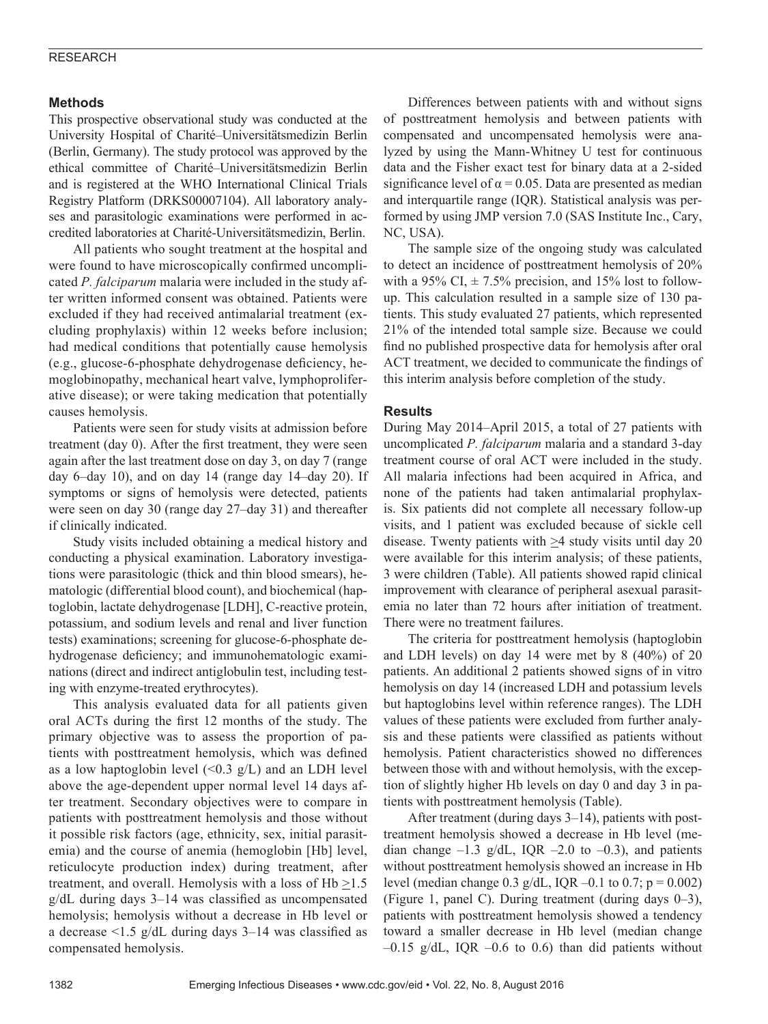## RESEARCH

## **Methods**

This prospective observational study was conducted at the University Hospital of Charité–Universitätsmedizin Berlin (Berlin, Germany). The study protocol was approved by the ethical committee of Charité–Universitätsmedizin Berlin and is registered at the WHO International Clinical Trials Registry Platform (DRKS00007104). All laboratory analyses and parasitologic examinations were performed in accredited laboratories at Charité-Universitätsmedizin, Berlin.

All patients who sought treatment at the hospital and were found to have microscopically confirmed uncomplicated *P. falciparum* malaria were included in the study after written informed consent was obtained. Patients were excluded if they had received antimalarial treatment (excluding prophylaxis) within 12 weeks before inclusion; had medical conditions that potentially cause hemolysis (e.g., glucose-6-phosphate dehydrogenase deficiency, hemoglobinopathy, mechanical heart valve, lymphoproliferative disease); or were taking medication that potentially causes hemolysis.

Patients were seen for study visits at admission before treatment (day 0). After the first treatment, they were seen again after the last treatment dose on day 3, on day 7 (range day 6–day 10), and on day 14 (range day 14–day 20). If symptoms or signs of hemolysis were detected, patients were seen on day 30 (range day 27–day 31) and thereafter if clinically indicated.

Study visits included obtaining a medical history and conducting a physical examination. Laboratory investigations were parasitologic (thick and thin blood smears), hematologic (differential blood count), and biochemical (haptoglobin, lactate dehydrogenase [LDH], C-reactive protein, potassium, and sodium levels and renal and liver function tests) examinations; screening for glucose-6-phosphate dehydrogenase deficiency; and immunohematologic examinations (direct and indirect antiglobulin test, including testing with enzyme-treated erythrocytes).

This analysis evaluated data for all patients given oral ACTs during the first 12 months of the study. The primary objective was to assess the proportion of patients with posttreatment hemolysis, which was defined as a low haptoglobin level  $(\leq 0.3 \text{ g/L})$  and an LDH level above the age-dependent upper normal level 14 days after treatment. Secondary objectives were to compare in patients with posttreatment hemolysis and those without it possible risk factors (age, ethnicity, sex, initial parasitemia) and the course of anemia (hemoglobin [Hb] level, reticulocyte production index) during treatment, after treatment, and overall. Hemolysis with a loss of Hb  $\geq$ 1.5 g/dL during days 3–14 was classified as uncompensated hemolysis; hemolysis without a decrease in Hb level or a decrease <1.5 g/dL during days 3–14 was classified as compensated hemolysis.

Differences between patients with and without signs of posttreatment hemolysis and between patients with compensated and uncompensated hemolysis were analyzed by using the Mann-Whitney U test for continuous data and the Fisher exact test for binary data at a 2-sided significance level of  $\alpha$  = 0.05. Data are presented as median and interquartile range (IQR). Statistical analysis was performed by using JMP version 7.0 (SAS Institute Inc., Cary, NC, USA).

The sample size of the ongoing study was calculated to detect an incidence of posttreatment hemolysis of 20% with a 95% CI,  $\pm$  7.5% precision, and 15% lost to followup. This calculation resulted in a sample size of 130 patients. This study evaluated 27 patients, which represented 21% of the intended total sample size. Because we could find no published prospective data for hemolysis after oral ACT treatment, we decided to communicate the findings of this interim analysis before completion of the study.

## **Results**

During May 2014–April 2015, a total of 27 patients with uncomplicated *P. falciparum* malaria and a standard 3-day treatment course of oral ACT were included in the study. All malaria infections had been acquired in Africa, and none of the patients had taken antimalarial prophylaxis. Six patients did not complete all necessary follow-up visits, and 1 patient was excluded because of sickle cell disease. Twenty patients with  $\geq$ 4 study visits until day 20 were available for this interim analysis; of these patients, 3 were children (Table). All patients showed rapid clinical improvement with clearance of peripheral asexual parasitemia no later than 72 hours after initiation of treatment. There were no treatment failures.

The criteria for posttreatment hemolysis (haptoglobin and LDH levels) on day 14 were met by 8 (40%) of 20 patients. An additional 2 patients showed signs of in vitro hemolysis on day 14 (increased LDH and potassium levels but haptoglobins level within reference ranges). The LDH values of these patients were excluded from further analysis and these patients were classified as patients without hemolysis. Patient characteristics showed no differences between those with and without hemolysis, with the exception of slightly higher Hb levels on day 0 and day 3 in patients with posttreatment hemolysis (Table).

After treatment (during days 3–14), patients with posttreatment hemolysis showed a decrease in Hb level (median change  $-1.3$  g/dL, IQR  $-2.0$  to  $-0.3$ ), and patients without posttreatment hemolysis showed an increase in Hb level (median change 0.3 g/dL, IQR –0.1 to 0.7;  $p = 0.002$ ) (Figure 1, panel C). During treatment (during days 0–3), patients with posttreatment hemolysis showed a tendency toward a smaller decrease in Hb level (median change  $-0.15$  g/dL, IQR  $-0.6$  to 0.6) than did patients without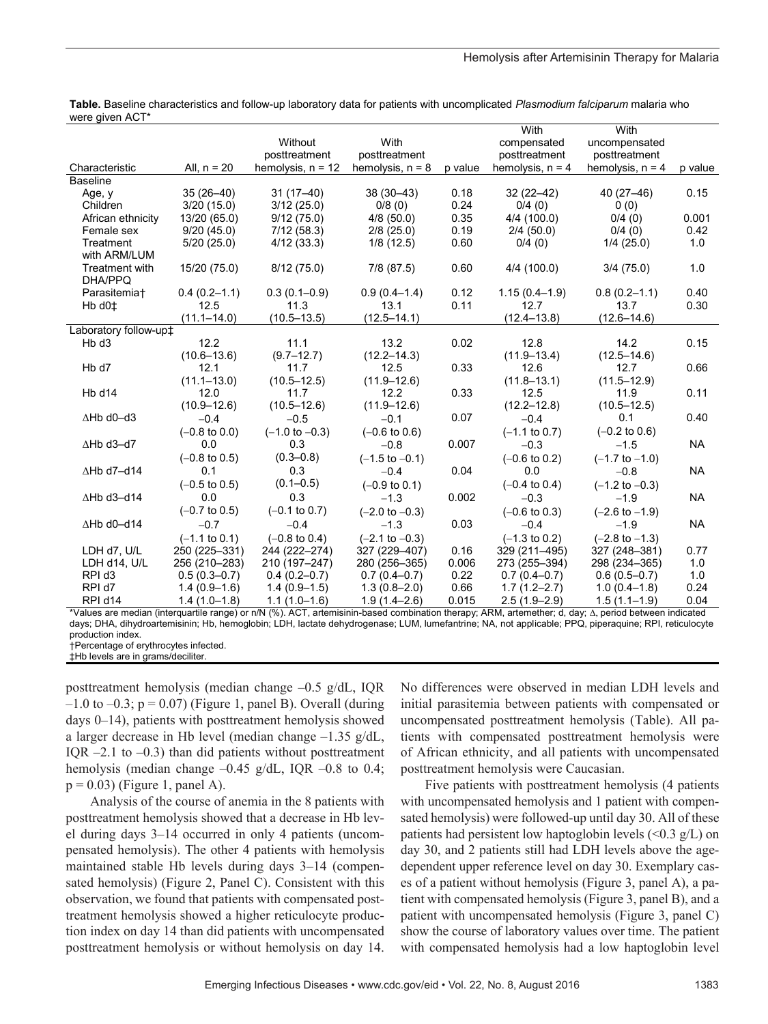|                          |                          |                          |                           |         | With                     | With                      |           |
|--------------------------|--------------------------|--------------------------|---------------------------|---------|--------------------------|---------------------------|-----------|
|                          |                          | Without                  | With                      |         | compensated              | uncompensated             |           |
|                          |                          | posttreatment            | posttreatment             |         | posttreatment            | posttreatment             |           |
| Characteristic           | All, $n = 20$            | hemolysis, $n = 12$      | hemolysis, $n = 8$        | p value | hemolysis, $n = 4$       | hemolysis, $n = 4$        | p value   |
| <b>Baseline</b>          |                          |                          |                           |         |                          |                           |           |
| Age, y                   | 35 (26-40)               | $31(17-40)$              | 38 (30-43)                | 0.18    | $32(22-42)$              | 40 (27-46)                | 0.15      |
| Children                 | 3/20(15.0)               | 3/12(25.0)               | 0/8(0)                    | 0.24    | 0/4(0)                   | 0(0)                      |           |
| African ethnicity        | 13/20 (65.0)             | 9/12(75.0)               | $4/8$ (50.0)              | 0.35    | 4/4 (100.0)              | 0/4(0)                    | 0.001     |
| Female sex               | 9/20(45.0)               | 7/12(58.3)               | $2/8$ (25.0)              | 0.19    | 2/4(50.0)                | 0/4(0)                    | 0.42      |
| Treatment                | 5/20(25.0)               | 4/12(33.3)               | 1/8(12.5)                 | 0.60    | 0/4(0)                   | 1/4(25.0)                 | 1.0       |
| with ARM/LUM             |                          |                          |                           |         |                          |                           |           |
| Treatment with           | 15/20 (75.0)             | 8/12(75.0)               | 7/8 (87.5)                | 0.60    | 4/4 (100.0)              | 3/4(75.0)                 | 1.0       |
| DHA/PPQ                  |                          |                          |                           |         |                          |                           |           |
| Parasitemia <sup>+</sup> | $0.4(0.2 - 1.1)$         | $0.3(0.1 - 0.9)$         | $0.9(0.4 - 1.4)$          | 0.12    | $1.15(0.4 - 1.9)$        | $0.8(0.2 - 1.1)$          | 0.40      |
| Hb d0 <sup>±</sup>       | 12.5                     | 11.3                     | 13.1                      | 0.11    | 12.7                     | 13.7                      | 0.30      |
|                          | $(11.1 - 14.0)$          | $(10.5 - 13.5)$          | $(12.5 - 14.1)$           |         | $(12.4 - 13.8)$          | $(12.6 - 14.6)$           |           |
| Laboratory follow-up‡    |                          |                          |                           |         |                          |                           |           |
| Hb d <sub>3</sub>        | 12.2                     | 11.1                     | 13.2                      | 0.02    | 12.8                     | 14.2                      | 0.15      |
|                          | $(10.6 - 13.6)$          | $(9.7 - 12.7)$           | $(12.2 - 14.3)$           |         | $(11.9 - 13.4)$          | $(12.5 - 14.6)$           |           |
| Hb d7                    | 12.1                     | 11.7                     | 12.5                      | 0.33    | 12.6                     | 12.7                      | 0.66      |
|                          | $(11.1 - 13.0)$          | $(10.5 - 12.5)$          | $(11.9 - 12.6)$           |         | $(11.8 - 13.1)$          | $(11.5 - 12.9)$           |           |
| $Hb$ d14                 | 12.0                     | 11.7                     | 12.2                      | 0.33    | 12.5                     | 11.9                      | 0.11      |
|                          | $(10.9 - 12.6)$          | $(10.5 - 12.6)$          | $(11.9 - 12.6)$           |         | $(12.2 - 12.8)$          | $(10.5 - 12.5)$           |           |
| $\Delta$ Hb d0-d3        | $-0.4$                   | $-0.5$                   | $-0.1$                    | 0.07    | $-0.4$                   | 0.1                       | 0.40      |
|                          | $(-0.8 \text{ to } 0.0)$ | $(-1.0 to -0.3)$         | $(-0.6 \text{ to } 0.6)$  |         | $(-1.1 to 0.7)$          | $(-0.2 \text{ to } 0.6)$  |           |
| $\Delta$ Hb d3-d7        | 0.0                      | 0.3                      | $-0.8$                    | 0.007   | $-0.3$                   | $-1.5$                    | <b>NA</b> |
|                          | $(-0.8 \text{ to } 0.5)$ | $(0.3 - 0.8)$            | $(-1.5$ to $-0.1)$        |         | $(-0.6 \text{ to } 0.2)$ | $(-1.7$ to $-1.0)$        |           |
| $\Delta$ Hb d7-d14       | 0.1                      | 0.3                      | $-0.4$                    | 0.04    | 0.0                      | $-0.8$                    | <b>NA</b> |
|                          | $(-0.5 \text{ to } 0.5)$ | $(0.1 - 0.5)$            | $(-0.9 \text{ to } 0.1)$  |         | $(-0.4 \text{ to } 0.4)$ | $(-1.2$ to $-0.3)$        |           |
| $\Delta$ Hb d3-d14       | 0.0                      | 0.3                      | $-1.3$                    | 0.002   | $-0.3$                   | $-1.9$                    | <b>NA</b> |
|                          | $(-0.7 \text{ to } 0.5)$ | $(-0.1$ to 0.7)          | $(-2.0 \text{ to } -0.3)$ |         | $(-0.6 \text{ to } 0.3)$ | $(-2.6 \text{ to } -1.9)$ |           |
| $\Delta$ Hb d0-d14       | $-0.7$                   | $-0.4$                   | $-1.3$                    | 0.03    | $-0.4$                   | $-1.9$                    | <b>NA</b> |
|                          | $(-1.1$ to 0.1)          | $(-0.8 \text{ to } 0.4)$ | $(-2.1$ to $-0.3)$        |         | $(-1.3 \text{ to } 0.2)$ | $(-2.8$ to $-1.3)$        |           |
| LDH d7, U/L              | 250 (225-331)            | 244 (222-274)            | 327 (229-407)             | 0.16    | 329 (211-495)            | 327 (248-381)             | 0.77      |
| LDH d14, U/L             | 256 (210-283)            | 210 (197-247)            | 280 (256-365)             | 0.006   | 273 (255-394)            | 298 (234-365)             | 1.0       |
| RPI <sub>d3</sub>        | $0.5(0.3 - 0.7)$         | $0.4(0.2 - 0.7)$         | $0.7(0.4 - 0.7)$          | 0.22    | $0.7(0.4-0.7)$           | $0.6(0.5 - 0.7)$          | 1.0       |
| RPI d7                   | $1.4(0.9-1.6)$           | $1.4(0.9-1.5)$           | $1.3(0.8 - 2.0)$          | 0.66    | $1.7(1.2 - 2.7)$         | $1.0(0.4-1.8)$            | 0.24      |
| RPI d14                  | $1.4(1.0-1.8)$           | $1.1(1.0-1.6)$           | $1.9(1.4 - 2.6)$          | 0.015   | $2.5(1.9-2.9)$           | $1.5(1.1-1.9)$            | 0.04      |

Table. Baseline characteristics and follow-up laboratory data for patients with uncomplicated Plasmodium falciparum malaria who were given ACT\*

\*Values are median (interquartile range) or n/N (%). ACT, artemisinin-based combination therapy; ARM, artemether; d, day; Δ, period between indicated days; DHA, dihydroartemisinin; Hb, hemoglobin; LDH, lactate dehydrogenase; LUM, lumefantrine; NA, not applicable; PPQ, piperaquine; RPI, reticulocyte production index.

†Percentage of erythrocytes infected.

‡Hb levels are in grams/deciliter.

posttreatment hemolysis (median change –0.5 g/dL, IQR  $-1.0$  to  $-0.3$ ; p = 0.07) (Figure 1, panel B). Overall (during days 0–14), patients with posttreatment hemolysis showed a larger decrease in Hb level (median change –1.35 g/dL, IQR  $-2.1$  to  $-0.3$ ) than did patients without posttreatment hemolysis (median change  $-0.45$  g/dL, IQR  $-0.8$  to 0.4;  $p = 0.03$ ) (Figure 1, panel A).

Analysis of the course of anemia in the 8 patients with posttreatment hemolysis showed that a decrease in Hb level during days 3–14 occurred in only 4 patients (uncompensated hemolysis). The other 4 patients with hemolysis maintained stable Hb levels during days 3–14 (compensated hemolysis) (Figure 2, Panel C). Consistent with this observation, we found that patients with compensated posttreatment hemolysis showed a higher reticulocyte production index on day 14 than did patients with uncompensated posttreatment hemolysis or without hemolysis on day 14.

No differences were observed in median LDH levels and initial parasitemia between patients with compensated or uncompensated posttreatment hemolysis (Table). All patients with compensated posttreatment hemolysis were of African ethnicity, and all patients with uncompensated posttreatment hemolysis were Caucasian.

Five patients with posttreatment hemolysis (4 patients with uncompensated hemolysis and 1 patient with compensated hemolysis) were followed-up until day 30. All of these patients had persistent low haptoglobin levels  $(\leq 0.3 \text{ g/L})$  on day 30, and 2 patients still had LDH levels above the agedependent upper reference level on day 30. Exemplary cases of a patient without hemolysis (Figure 3, panel A), a patient with compensated hemolysis (Figure 3, panel B), and a patient with uncompensated hemolysis (Figure 3, panel C) show the course of laboratory values over time. The patient with compensated hemolysis had a low haptoglobin level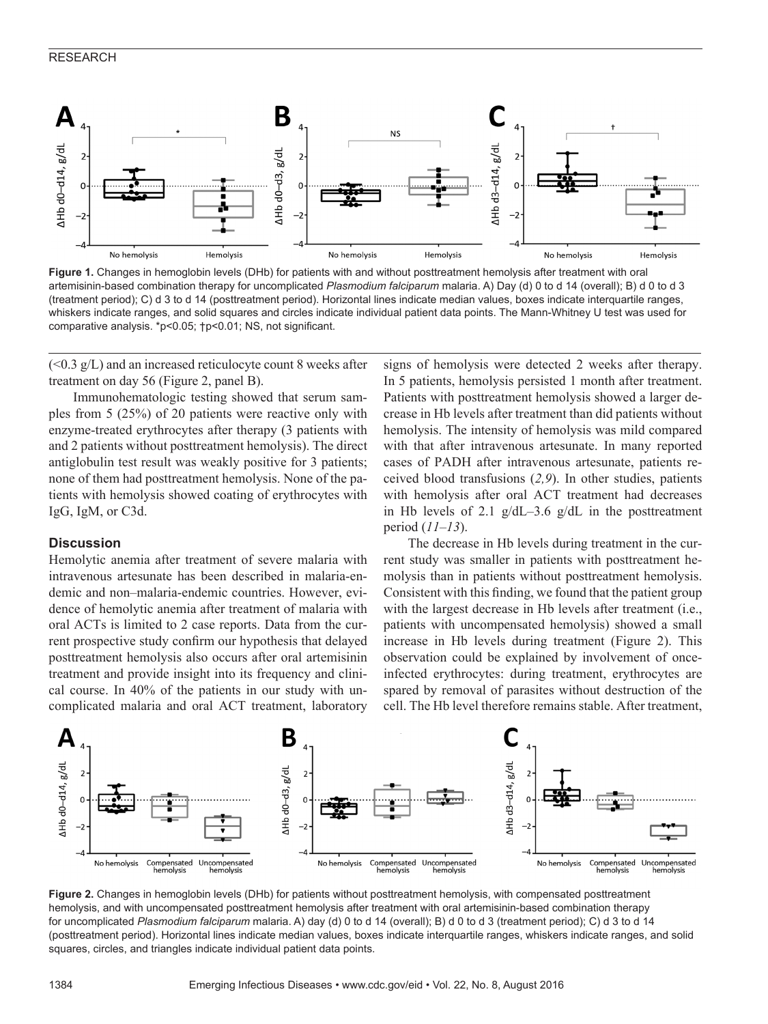### RESEARCH



**Figure 1.** Changes in hemoglobin levels (DHb) for patients with and without posttreatment hemolysis after treatment with oral artemisinin-based combination therapy for uncomplicated *Plasmodium falciparum* malaria. A) Day (d) 0 to d 14 (overall); B) d 0 to d 3 (treatment period); C) d 3 to d 14 (posttreatment period). Horizontal lines indicate median values, boxes indicate interquartile ranges, whiskers indicate ranges, and solid squares and circles indicate individual patient data points. The Mann-Whitney U test was used for comparative analysis. \*p<0.05; †p<0.01; NS, not significant.

 $(< 0.3$  g/L) and an increased reticulocyte count 8 weeks after treatment on day 56 (Figure 2, panel B).

Immunohematologic testing showed that serum samples from 5 (25%) of 20 patients were reactive only with enzyme-treated erythrocytes after therapy (3 patients with and 2 patients without posttreatment hemolysis). The direct antiglobulin test result was weakly positive for 3 patients; none of them had posttreatment hemolysis. None of the patients with hemolysis showed coating of erythrocytes with IgG, IgM, or C3d.

#### **Discussion**

Hemolytic anemia after treatment of severe malaria with intravenous artesunate has been described in malaria-endemic and non–malaria-endemic countries. However, evidence of hemolytic anemia after treatment of malaria with oral ACTs is limited to 2 case reports. Data from the current prospective study confirm our hypothesis that delayed posttreatment hemolysis also occurs after oral artemisinin treatment and provide insight into its frequency and clinical course. In 40% of the patients in our study with uncomplicated malaria and oral ACT treatment, laboratory signs of hemolysis were detected 2 weeks after therapy. In 5 patients, hemolysis persisted 1 month after treatment. Patients with posttreatment hemolysis showed a larger decrease in Hb levels after treatment than did patients without hemolysis. The intensity of hemolysis was mild compared with that after intravenous artesunate. In many reported cases of PADH after intravenous artesunate, patients received blood transfusions (*2,9*). In other studies, patients with hemolysis after oral ACT treatment had decreases in Hb levels of 2.1  $g/dL-3.6$   $g/dL$  in the posttreatment period (*11–13*).

The decrease in Hb levels during treatment in the current study was smaller in patients with posttreatment hemolysis than in patients without posttreatment hemolysis. Consistent with this finding, we found that the patient group with the largest decrease in Hb levels after treatment *(i.e.,* patients with uncompensated hemolysis) showed a small increase in Hb levels during treatment (Figure 2). This observation could be explained by involvement of onceinfected erythrocytes: during treatment, erythrocytes are spared by removal of parasites without destruction of the cell. The Hb level therefore remains stable. After treatment,



**Figure 2.** Changes in hemoglobin levels (DHb) for patients without posttreatment hemolysis, with compensated posttreatment hemolysis, and with uncompensated posttreatment hemolysis after treatment with oral artemisinin-based combination therapy for uncomplicated *Plasmodium falciparum* malaria. A) day (d) 0 to d 14 (overall); B) d 0 to d 3 (treatment period); C) d 3 to d 14 (posttreatment period). Horizontal lines indicate median values, boxes indicate interquartile ranges, whiskers indicate ranges, and solid squares, circles, and triangles indicate individual patient data points.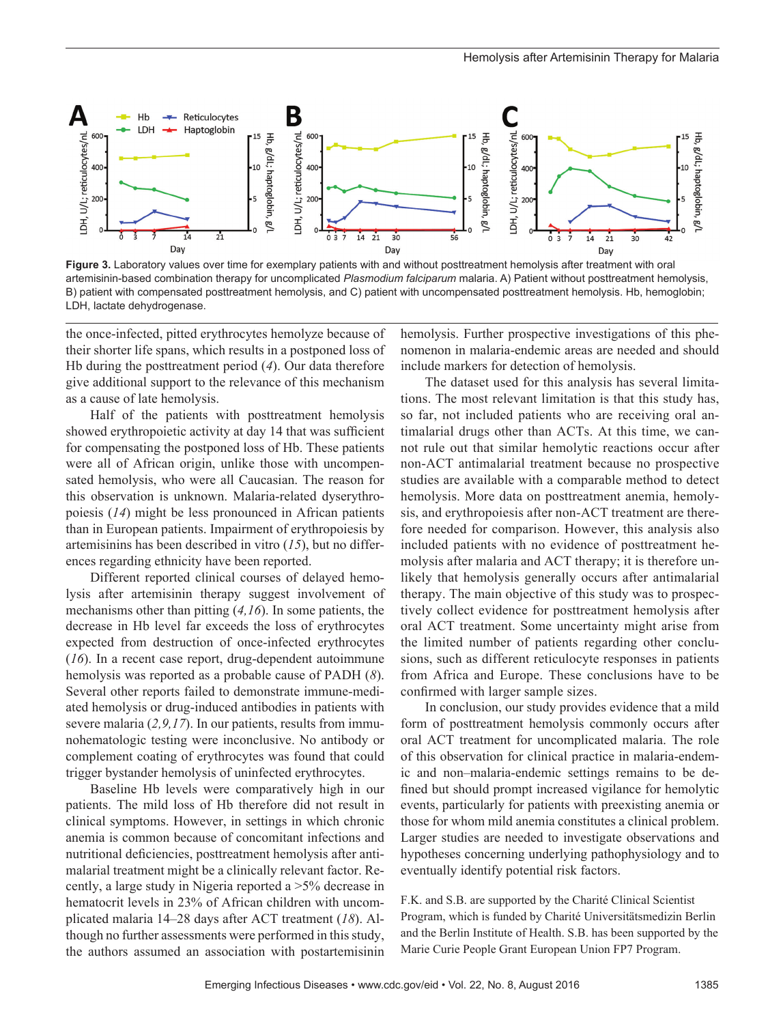

**Figure 3.** Laboratory values over time for exemplary patients with and without posttreatment hemolysis after treatment with oral artemisinin-based combination therapy for uncomplicated *Plasmodium falciparum* malaria. A) Patient without posttreatment hemolysis, B) patient with compensated posttreatment hemolysis, and C) patient with uncompensated posttreatment hemolysis. Hb, hemoglobin; LDH, lactate dehydrogenase.

the once-infected, pitted erythrocytes hemolyze because of their shorter life spans, which results in a postponed loss of Hb during the posttreatment period (*4*). Our data therefore give additional support to the relevance of this mechanism as a cause of late hemolysis.

Half of the patients with posttreatment hemolysis showed erythropoietic activity at day 14 that was sufficient for compensating the postponed loss of Hb. These patients were all of African origin, unlike those with uncompensated hemolysis, who were all Caucasian. The reason for this observation is unknown. Malaria-related dyserythropoiesis (*14*) might be less pronounced in African patients than in European patients. Impairment of erythropoiesis by artemisinins has been described in vitro (*15*), but no differences regarding ethnicity have been reported.

Different reported clinical courses of delayed hemolysis after artemisinin therapy suggest involvement of mechanisms other than pitting (*4,16*). In some patients, the decrease in Hb level far exceeds the loss of erythrocytes expected from destruction of once-infected erythrocytes (*16*). In a recent case report, drug-dependent autoimmune hemolysis was reported as a probable cause of PADH (*8*). Several other reports failed to demonstrate immune-mediated hemolysis or drug-induced antibodies in patients with severe malaria (*2,9,17*). In our patients, results from immunohematologic testing were inconclusive. No antibody or complement coating of erythrocytes was found that could trigger bystander hemolysis of uninfected erythrocytes.

Baseline Hb levels were comparatively high in our patients. The mild loss of Hb therefore did not result in clinical symptoms. However, in settings in which chronic anemia is common because of concomitant infections and nutritional deficiencies, posttreatment hemolysis after antimalarial treatment might be a clinically relevant factor. Recently, a large study in Nigeria reported a >5% decrease in hematocrit levels in 23% of African children with uncomplicated malaria 14–28 days after ACT treatment (*18*). Although no further assessments were performed in this study, the authors assumed an association with postartemisinin

hemolysis. Further prospective investigations of this phenomenon in malaria-endemic areas are needed and should include markers for detection of hemolysis.

The dataset used for this analysis has several limitations. The most relevant limitation is that this study has, so far, not included patients who are receiving oral antimalarial drugs other than ACTs. At this time, we cannot rule out that similar hemolytic reactions occur after non-ACT antimalarial treatment because no prospective studies are available with a comparable method to detect hemolysis. More data on posttreatment anemia, hemolysis, and erythropoiesis after non-ACT treatment are therefore needed for comparison. However, this analysis also included patients with no evidence of posttreatment hemolysis after malaria and ACT therapy; it is therefore unlikely that hemolysis generally occurs after antimalarial therapy. The main objective of this study was to prospectively collect evidence for posttreatment hemolysis after oral ACT treatment. Some uncertainty might arise from the limited number of patients regarding other conclusions, such as different reticulocyte responses in patients from Africa and Europe. These conclusions have to be confirmed with larger sample sizes.

In conclusion, our study provides evidence that a mild form of posttreatment hemolysis commonly occurs after oral ACT treatment for uncomplicated malaria. The role of this observation for clinical practice in malaria-endemic and non–malaria-endemic settings remains to be defined but should prompt increased vigilance for hemolytic events, particularly for patients with preexisting anemia or those for whom mild anemia constitutes a clinical problem. Larger studies are needed to investigate observations and hypotheses concerning underlying pathophysiology and to eventually identify potential risk factors.

F.K. and S.B. are supported by the Charité Clinical Scientist Program, which is funded by Charité Universitätsmedizin Berlin and the Berlin Institute of Health. S.B. has been supported by the Marie Curie People Grant European Union FP7 Program.